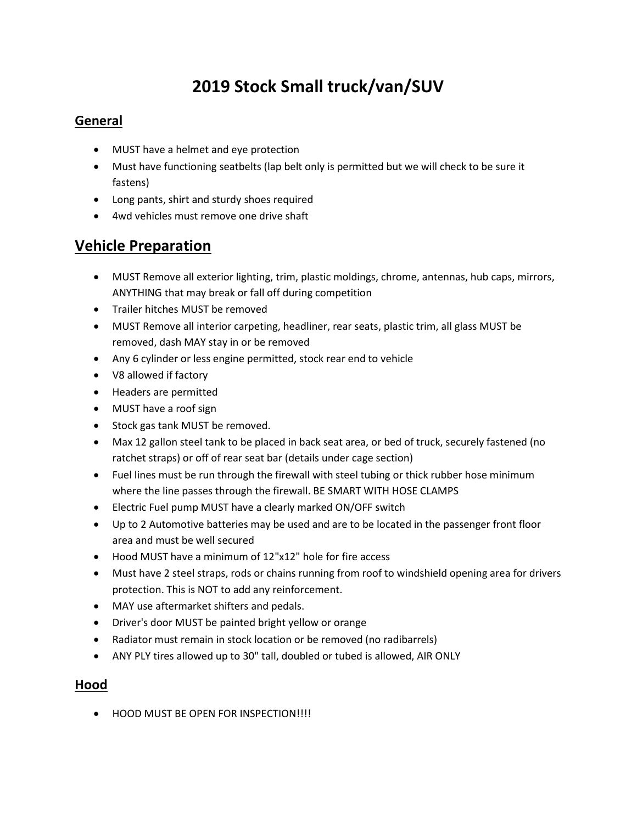# 2019 Stock Small truck/van/SUV

#### General

- MUST have a helmet and eye protection
- Must have functioning seatbelts (lap belt only is permitted but we will check to be sure it fastens)
- Long pants, shirt and sturdy shoes required
- 4wd vehicles must remove one drive shaft

# Vehicle Preparation

- MUST Remove all exterior lighting, trim, plastic moldings, chrome, antennas, hub caps, mirrors, ANYTHING that may break or fall off during competition
- Trailer hitches MUST be removed
- MUST Remove all interior carpeting, headliner, rear seats, plastic trim, all glass MUST be removed, dash MAY stay in or be removed
- Any 6 cylinder or less engine permitted, stock rear end to vehicle
- V8 allowed if factory
- Headers are permitted
- MUST have a roof sign
- Stock gas tank MUST be removed.
- Max 12 gallon steel tank to be placed in back seat area, or bed of truck, securely fastened (no ratchet straps) or off of rear seat bar (details under cage section)
- Fuel lines must be run through the firewall with steel tubing or thick rubber hose minimum where the line passes through the firewall. BE SMART WITH HOSE CLAMPS
- Electric Fuel pump MUST have a clearly marked ON/OFF switch
- Up to 2 Automotive batteries may be used and are to be located in the passenger front floor area and must be well secured
- Hood MUST have a minimum of 12"x12" hole for fire access
- Must have 2 steel straps, rods or chains running from roof to windshield opening area for drivers protection. This is NOT to add any reinforcement.
- MAY use aftermarket shifters and pedals.
- Driver's door MUST be painted bright yellow or orange
- Radiator must remain in stock location or be removed (no radibarrels)
- ANY PLY tires allowed up to 30" tall, doubled or tubed is allowed, AIR ONLY

#### Hood

**• HOOD MUST BE OPEN FOR INSPECTION!!!!**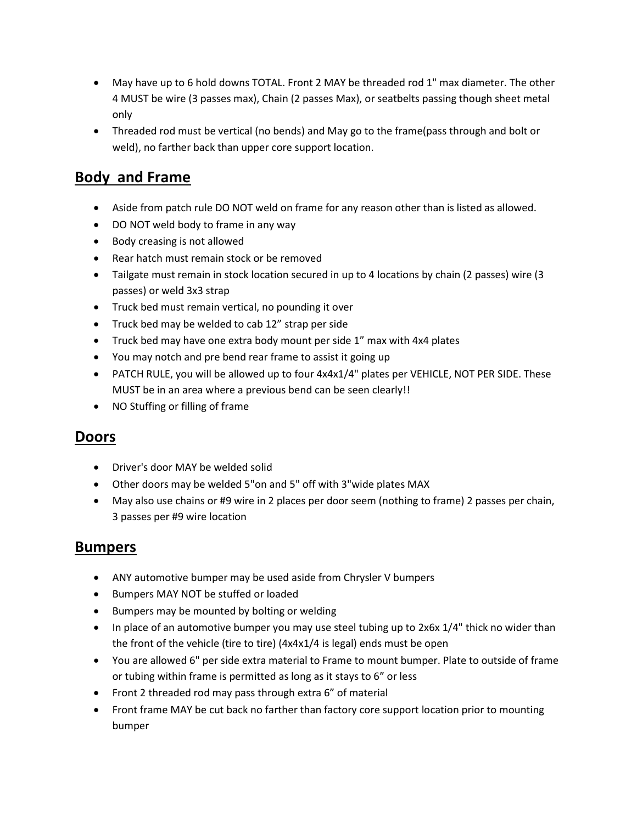- May have up to 6 hold downs TOTAL. Front 2 MAY be threaded rod 1" max diameter. The other 4 MUST be wire (3 passes max), Chain (2 passes Max), or seatbelts passing though sheet metal only
- Threaded rod must be vertical (no bends) and May go to the frame(pass through and bolt or weld), no farther back than upper core support location.

# Body and Frame

- Aside from patch rule DO NOT weld on frame for any reason other than is listed as allowed.
- DO NOT weld body to frame in any way
- Body creasing is not allowed
- Rear hatch must remain stock or be removed
- Tailgate must remain in stock location secured in up to 4 locations by chain (2 passes) wire (3 passes) or weld 3x3 strap
- Truck bed must remain vertical, no pounding it over
- Truck bed may be welded to cab 12" strap per side
- Truck bed may have one extra body mount per side 1" max with 4x4 plates
- You may notch and pre bend rear frame to assist it going up
- PATCH RULE, you will be allowed up to four 4x4x1/4" plates per VEHICLE, NOT PER SIDE. These MUST be in an area where a previous bend can be seen clearly!!
- NO Stuffing or filling of frame

### Doors

- Driver's door MAY be welded solid
- Other doors may be welded 5"on and 5" off with 3"wide plates MAX
- May also use chains or #9 wire in 2 places per door seem (nothing to frame) 2 passes per chain, 3 passes per #9 wire location

### Bumpers

- ANY automotive bumper may be used aside from Chrysler V bumpers
- Bumpers MAY NOT be stuffed or loaded
- Bumpers may be mounted by bolting or welding
- In place of an automotive bumper you may use steel tubing up to  $2x6x$  1/4" thick no wider than the front of the vehicle (tire to tire) (4x4x1/4 is legal) ends must be open
- You are allowed 6" per side extra material to Frame to mount bumper. Plate to outside of frame or tubing within frame is permitted as long as it stays to 6" or less
- Front 2 threaded rod may pass through extra 6" of material
- Front frame MAY be cut back no farther than factory core support location prior to mounting bumper